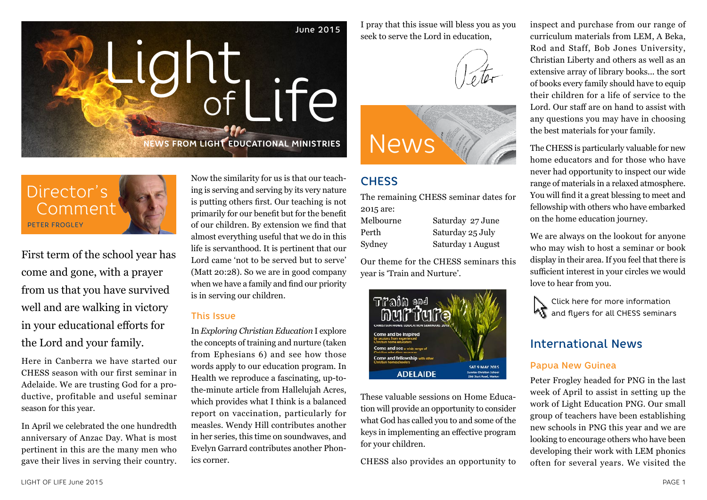

Director's Comment PETER FROGLEY

First term of the school year has come and gone, with a prayer from us that you have survived well and are walking in victory in your educational efforts for the Lord and your family.

Here in Canberra we have started our CHESS season with our first seminar in Adelaide. We are trusting God for a productive, profitable and useful seminar season for this year.

In April we celebrated the one hundredth anniversary of Anzac Day. What is most pertinent in this are the many men who gave their lives in serving their country. Now the similarity for us is that our teaching is serving and serving by its very nature is putting others first. Our teaching is not primarily for our benefit but for the benefit of our children. By extension we find that almost everything useful that we do in this life is servanthood. It is pertinent that our Lord came 'not to be served but to serve' (Matt 20:28). So we are in good company when we have a family and find our priority is in serving our children.

#### This Issue

In *Exploring Christian Education* I explore the concepts of training and nurture (taken from Ephesians 6) and see how those words apply to our education program. In Health we reproduce a fascinating, up-tothe-minute article from Hallelujah Acres, which provides what I think is a balanced report on vaccination, particularly for measles. Wendy Hill contributes another in her series, this time on soundwaves, and Evelyn Garrard contributes another Phonics corner.

I pray that this issue will bless you as you seek to serve the Lord in education,





## **CHESS**

The remaining CHESS seminar dates for 2015 are:

Melbourne Saturday 27 June

Perth Saturday 25 July Sydney Saturday 1 August

Our theme for the CHESS seminars this year is 'Train and Nurture'.



These valuable sessions on Home Education will provide an opportunity to consider what God has called you to and some of the keys in implementing an effective program for your children.

CHESS also provides an opportunity to

inspect and purchase from our range of curriculum materials from LEM, A Beka, Rod and Staff, Bob Jones University, Christian Liberty and others as well as an extensive array of library books... the sort of books every family should have to equip their children for a life of service to the Lord. Our staff are on hand to assist with any questions you may have in choosing the best materials for your family.

The CHESS is particularly valuable for new home educators and for those who have never had opportunity to inspect our wide range of materials in a relaxed atmosphere. You will find it a great blessing to meet and fellowship with others who have embarked on the home education journey.

We are always on the lookout for anyone who may wish to host a seminar or book display in their area. If you feel that there is sufficient interest in your circles we would love to hear from you.

Click here for more information **K**<sup>a</sup> and flyers for all CHESS seminars

### International News

#### Papua New Guinea

Peter Frogley headed for PNG in the last week of April to assist in setting up the work of Light Education PNG. Our small group of teachers have been establishing new schools in PNG this year and we are looking to encourage others who have been developing their work with LEM phonics often for several years. We visited the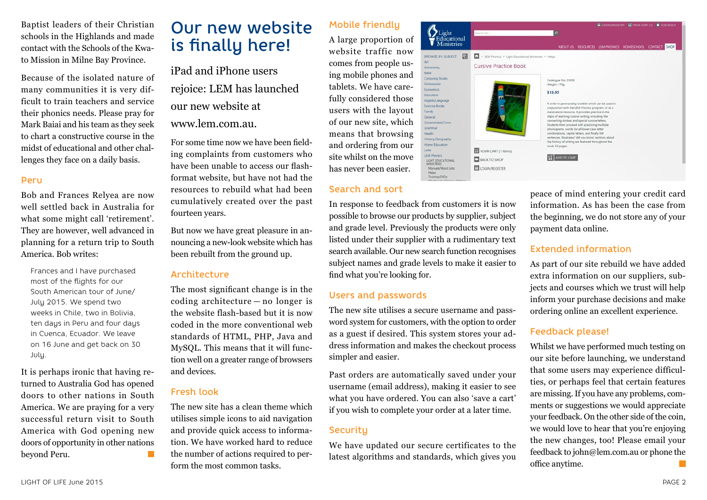Baptist leaders of their Christian schools in the Highlands and made contact with the Schools of the Kwato Mission in Milne Bay Province.

Because of the isolated nature of many communities it is very difficult to train teachers and service their phonics needs. Please pray for Mark Baiai and his team as they seek to chart a constructive course in the midst of educational and other challenges they face on a daily basis.

#### Peru

Bob and Frances Relyea are now well settled back in Australia for what some might call 'retirement'. They are however, well advanced in planning for a return trip to South America. Bob writes:

Frances and I have purchased most of the flights for our South American tour of June/ July 2015. We spend two weeks in Chile, two in Bolivia, ten days in Peru and four days in Cuenca, Ecuador. We leave on 16 June and get back on 30 July.

It is perhaps ironic that having returned to Australia God has opened doors to other nations in South America. We are praying for a very successful return visit to South America with God opening new doors of opportunity in other nations beyond Peru.

# Our new website is finally here!

iPad and iPhone users rejoice: LEM has launched

our new website at

#### www.lem.com.au.

For some time now we have been fielding complaints from customers who have been unable to access our flashformat website, but have not had the resources to rebuild what had been cumulatively created over the past fourteen years.

But now we have great pleasure in announcing a new-look website which has been rebuilt from the ground up.

#### Architecture

The most significant change is in the coding architecture — no longer is the website flash-based but it is now coded in the more conventional web standards of HTML, PHP, Java and MySQL. This means that it will function well on a greater range of browsers and devices.

#### Fresh look

The new site has a clean theme which utilises simple icons to aid navigation and provide quick access to information. We have worked hard to reduce the number of actions required to perform the most common tasks.

### Mobile friendly

A large proportion of website traffic now comes from people using mobile phones and tablets. We have carefully considered those users with the layout of our new site, which means that browsing and ordering from our site whilst on the move has never been easier.

#### Search and sort

In response to feedback from customers it is now possible to browse our products by supplier, subject and grade level. Previously the products were only listed under their supplier with a rudimentary text search available. Our new search function recognises subject names and grade levels to make it easier to find what you're looking for.

Astronomy **Rihile** Colouring Books

Dictionaries

Economics

Education English/Language

Family

General

Grammar Health

Latin

**Exercise Rooks** 

Government /Civics

History/Generanh

Home Education

LIGHT EDUCATIONA

Manuals/Word Lists Helps<br>Training DVDs

LEM Phonics

#### Users and passwords

The new site utilises a secure username and password system for customers, with the option to order as a guest if desired. This system stores your address information and makes the checkout process simpler and easier.

Past orders are automatically saved under your username (email address), making it easier to see what you have ordered. You can also 'save a cart' if you wish to complete your order at a later time.

#### **Security**

We have updated our secure certificates to the latest algorithms and standards, which gives you



peace of mind entering your credit card information. As has been the case from the beginning, we do not store any of your payment data online.

#### Extended information

As part of our site rebuild we have added extra information on our suppliers, subjects and courses which we trust will help inform your purchase decisions and make ordering online an excellent experience.

#### Feedback please!

Whilst we have performed much testing on our site before launching, we understand that some users may experience difficulties, or perhaps feel that certain features are missing. If you have any problems, comments or suggestions we would appreciate your feedback. On the other side of the coin, we would love to hear that you're enjoying the new changes, too! Please email your feedback to john@lem.com.au or phone the office anytime.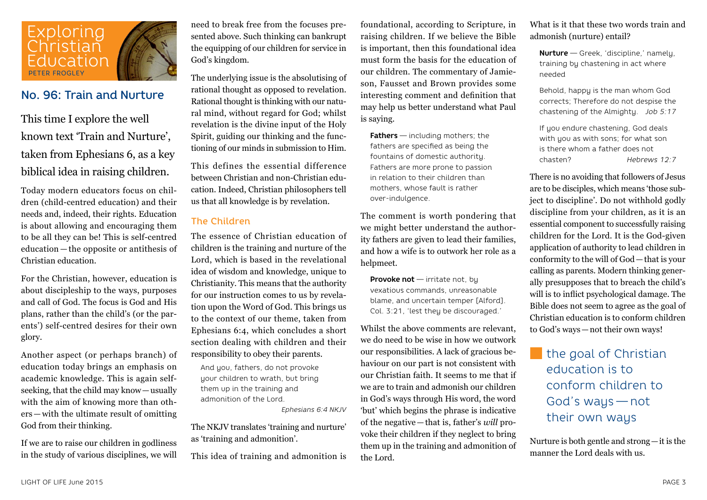

### No. 96: Train and Nurture

This time I explore the well known text 'Train and Nurture', taken from Ephesians 6, as a key biblical idea in raising children.

Today modern educators focus on children (child-centred education) and their needs and, indeed, their rights. Education is about allowing and encouraging them to be all they can be! This is self-centred education — the opposite or antithesis of Christian education.

For the Christian, however, education is about discipleship to the ways, purposes and call of God. The focus is God and His plans, rather than the child's (or the parents') self-centred desires for their own glory.

Another aspect (or perhaps branch) of education today brings an emphasis on academic knowledge. This is again selfseeking, that the child may know—usually with the aim of knowing more than others — with the ultimate result of omitting God from their thinking.

If we are to raise our children in godliness in the study of various disciplines, we will need to break free from the focuses presented above. Such thinking can bankrupt the equipping of our children for service in God's kingdom.

The underlying issue is the absolutising of rational thought as opposed to revelation. Rational thought is thinking with our natural mind, without regard for God; whilst revelation is the divine input of the Holy Spirit, guiding our thinking and the functioning of our minds in submission to Him.

This defines the essential difference between Christian and non-Christian education. Indeed, Christian philosophers tell us that all knowledge is by revelation.

#### The Children

The essence of Christian education of children is the training and nurture of the Lord, which is based in the revelational idea of wisdom and knowledge, unique to Christianity. This means that the authority for our instruction comes to us by revelation upon the Word of God. This brings us to the context of our theme, taken from Ephesians 6:4, which concludes a short section dealing with children and their responsibility to obey their parents.

And you, fathers, do not provoke your children to wrath, but bring them up in the training and admonition of the Lord.

*Ephesians 6:4 NKJV*

The NKJV translates 'training and nurture' as 'training and admonition'.

This idea of training and admonition is

foundational, according to Scripture, in raising children. If we believe the Bible is important, then this foundational idea must form the basis for the education of our children. The commentary of Jamieson, Fausset and Brown provides some interesting comment and definition that may help us better understand what Paul is saying.

**Fathers** — including mothers; the fathers are specified as being the fountains of domestic authority. Fathers are more prone to passion in relation to their children than mothers, whose fault is rather over-indulgence.

The comment is worth pondering that we might better understand the authority fathers are given to lead their families, and how a wife is to outwork her role as a helpmeet.

**Provoke not** — irritate not, bu vexatious commands, unreasonable blame, and uncertain temper [Alford]. Col. 3:21, 'lest they be discouraged.'

Whilst the above comments are relevant, we do need to be wise in how we outwork our responsibilities. A lack of gracious behaviour on our part is not consistent with our Christian faith. It seems to me that if we are to train and admonish our children in God's ways through His word, the word 'but' which begins the phrase is indicative of the negative—that is, father's *will* provoke their children if they neglect to bring them up in the training and admonition of the Lord.

What is it that these two words train and admonish (nurture) entail?

**Nurture** — Greek, 'discipline,' namely, training by chastening in act where needed

Behold, happy is the man whom God corrects; Therefore do not despise the chastening of the Almighty. *Job 5:17*

If you endure chastening, God deals with you as with sons; for what son is there whom a father does not chasten? *Hebrews 12:7*

There is no avoiding that followers of Jesus are to be disciples, which means 'those subject to discipline'. Do not withhold godly discipline from your children, as it is an essential component to successfully raising children for the Lord. It is the God-given application of authority to lead children in conformity to the will of God—that is your calling as parents. Modern thinking generally presupposes that to breach the child's will is to inflict psychological damage. The Bible does not seem to agree as the goal of Christian education is to conform children to God's ways—not their own ways!

# the goal of Christian education is to conform children to God's ways — not their own ways

Nurture is both gentle and strong—it is the manner the Lord deals with us.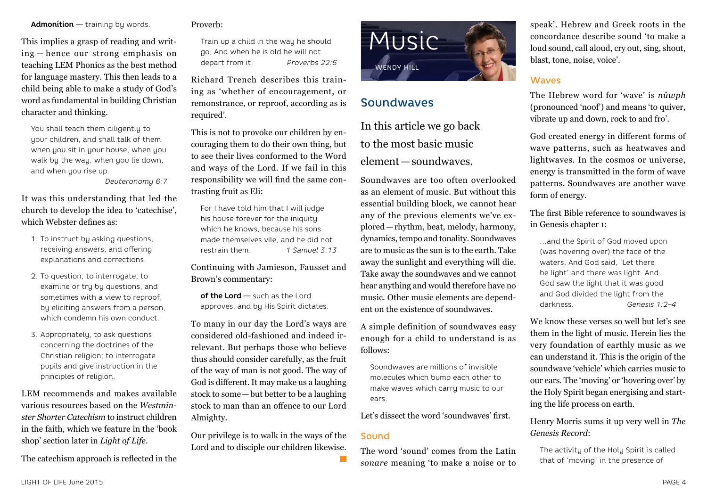child being able to make a study of God's word as fundamental in building Christian character and thinking. You shall teach them diligently to

**Admonition** — training by words.

This implies a grasp of reading and writing — hence our strong emphasis on teaching LEM Phonics as the best method for language mastery. This then leads to a

your children, and shall talk of them when you sit in your house, when you walk by the way, when you lie down, and when you rise up.

*Deuteronomy 6:7*

It was this understanding that led the church to develop the idea to 'catechise', which Webster defines as:

- 1. To instruct by asking questions, receiving answers, and offering explanations and corrections.
- 2. To question; to interrogate; to examine or try by questions, and sometimes with a view to reproof, by eliciting answers from a person, which condemn his own conduct.
- 3. Appropriately, to ask questions concerning the doctrines of the Christian religion; to interrogate pupils and give instruction in the principles of religion.

LEM recommends and makes available various resources based on the *Westminster Shorter Catechism* to instruct children in the faith, which we feature in the 'book shop' section later in *Light of Life*.

The catechism approach is reflected in the

#### Proverb:

Train up a child in the way he should go, And when he is old he will not depart from it. *Proverbs 22:6*

Richard Trench describes this training as 'whether of encouragement, or remonstrance, or reproof, according as is required'.

This is not to provoke our children by encouraging them to do their own thing, but to see their lives conformed to the Word and ways of the Lord. If we fail in this responsibility we will find the same contrasting fruit as Eli:

For I have told him that I will judge his house forever for the iniquity which he knows, because his sons made themselves vile, and he did not restrain them. *1 Samuel 3:13*

Continuing with Jamieson, Fausset and Brown's commentary:

**of the Lord** — such as the Lord approves, and by His Spirit dictates.

To many in our day the Lord's ways are considered old-fashioned and indeed irrelevant. But perhaps those who believe thus should consider carefully, as the fruit of the way of man is not good. The way of God is different. It may make us a laughing stock to some—but better to be a laughing stock to man than an offence to our Lord Almighty.

Our privilege is to walk in the ways of the Lord and to disciple our children likewise.



### Soundwaves

In this article we go back to the most basic music element—soundwaves.

Soundwaves are too often overlooked as an element of music. But without this essential building block, we cannot hear any of the previous elements we've explored—rhythm, beat, melody, harmony, dynamics, tempo and tonality. Soundwaves are to music as the sun is to the earth. Take away the sunlight and everything will die. Take away the soundwaves and we cannot hear anything and would therefore have no music. Other music elements are dependent on the existence of soundwaves.

A simple definition of soundwaves easy enough for a child to understand is as follows:

Soundwaves are millions of invisible molecules which bump each other to make waves which carry music to our ears.

Let's dissect the word 'soundwaves' first.

#### Sound

The word 'sound' comes from the Latin *sonare* meaning 'to make a noise or to speak'. Hebrew and Greek roots in the concordance describe sound 'to make a loud sound, call aloud, cry out, sing, shout, blast, tone, noise, voice'.

#### **Waves**

The Hebrew word for 'wave' is *nûwph*  (pronounced 'noof') and means 'to quiver, vibrate up and down, rock to and fro'.

God created energy in different forms of wave patterns, such as heatwaves and lightwaves. In the cosmos or universe, energy is transmitted in the form of wave patterns. Soundwaves are another wave form of energy.

The first Bible reference to soundwaves is in Genesis chapter 1:

…and the Spirit of God moved upon (was hovering over) the face of the waters. And God said, 'Let there be light' and there was light. And God saw the light that it was good and God divided the light from the darkness. *Genesis 1:2–4*

We know these verses so well but let's see them in the light of music. Herein lies the very foundation of earthly music as we can understand it. This is the origin of the soundwave 'vehicle' which carries music to our ears. The 'moving' or 'hovering over' by the Holy Spirit began energising and starting the life process on earth.

Henry Morris sums it up very well in *The Genesis Record*:

The activity of the Holy Spirit is called that of 'moving' in the presence of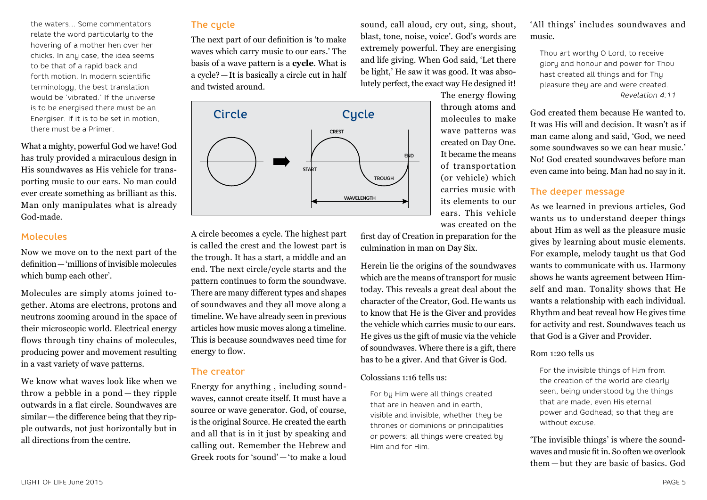the waters… Some commentators relate the word particularly to the hovering of a mother hen over her chicks. In any case, the idea seems to be that of a rapid back and forth motion. In modern scientific terminology, the best translation would be 'vibrated.' If the universe is to be energised there must be an Energiser. If it is to be set in motion, there must be a Primer.

What a mighty, powerful God we have! God has truly provided a miraculous design in His soundwaves as His vehicle for transporting music to our ears. No man could ever create something as brilliant as this. Man only manipulates what is already God-made.

#### Molecules

Now we move on to the next part of the definition—'millions of invisible molecules which bump each other'.

Molecules are simply atoms joined together. Atoms are electrons, protons and neutrons zooming around in the space of their microscopic world. Electrical energy flows through tiny chains of molecules, producing power and movement resulting in a vast variety of wave patterns.

We know what waves look like when we throw a pebble in a pond — they ripple outwards in a flat circle. Soundwaves are similar—the difference being that they ripple outwards, not just horizontally but in all directions from the centre.

#### The cycle

The next part of our definition is 'to make waves which carry music to our ears.' The basis of a wave pattern is a **cycle**. What is a cycle?—It is basically a circle cut in half and twisted around.

A circle becomes a cycle. The highest part is called the crest and the lowest part is the trough. It has a start, a middle and an end. The next circle/cycle starts and the pattern continues to form the soundwave. There are many different types and shapes of soundwaves and they all move along a timeline. We have already seen in previous articles how music moves along a timeline. This is because soundwaves need time for

Energy for anything , including soundwaves, cannot create itself. It must have a source or wave generator. God, of course, is the original Source. He created the earth and all that is in it just by speaking and calling out. Remember the Hebrew and Greek roots for 'sound' — 'to make a loud

energy to flow.

The creator



sound, call aloud, cry out, sing, shout, blast, tone, noise, voice'. God's words are extremely powerful. They are energising and life giving. When God said, 'Let there be light,' He saw it was good. It was absolutely perfect, the exact way He designed it!

> The energy flowing through atoms and molecules to make wave patterns was created on Day One. It became the means of transportation (or vehicle) which carries music with its elements to our ears. This vehicle was created on the

first day of Creation in preparation for the culmination in man on Day Six.

Herein lie the origins of the soundwaves which are the means of transport for music today. This reveals a great deal about the character of the Creator, God. He wants us to know that He is the Giver and provides the vehicle which carries music to our ears. He gives us the gift of music via the vehicle of soundwaves. Where there is a gift, there has to be a giver. And that Giver is God.

#### Colossians 1:16 tells us:

For by Him were all things created that are in heaven and in earth, visible and invisible, whether they be thrones or dominions or principalities or powers: all things were created by Him and for Him.

'All things' includes soundwaves and music.

Thou art worthy O Lord, to receive glory and honour and power for Thou hast created all things and for Thy pleasure they are and were created. *Revelation 4:11*

God created them because He wanted to. It was His will and decision. It wasn't as if man came along and said, 'God, we need some soundwaves so we can hear music.' No! God created soundwaves before man even came into being. Man had no say in it.

#### The deeper message

As we learned in previous articles, God wants us to understand deeper things about Him as well as the pleasure music gives by learning about music elements. For example, melody taught us that God wants to communicate with us. Harmony shows he wants agreement between Himself and man. Tonality shows that He wants a relationship with each individual. Rhythm and beat reveal how He gives time for activity and rest. Soundwaves teach us that God is a Giver and Provider.

#### Rom 1:20 tells us

For the invisible things of Him from the creation of the world are clearly seen, being understood by the things that are made, even His eternal power and Godhead; so that they are without excuse.

'The invisible things' is where the soundwaves and music fit in. So often we overlook them — but they are basic of basics. God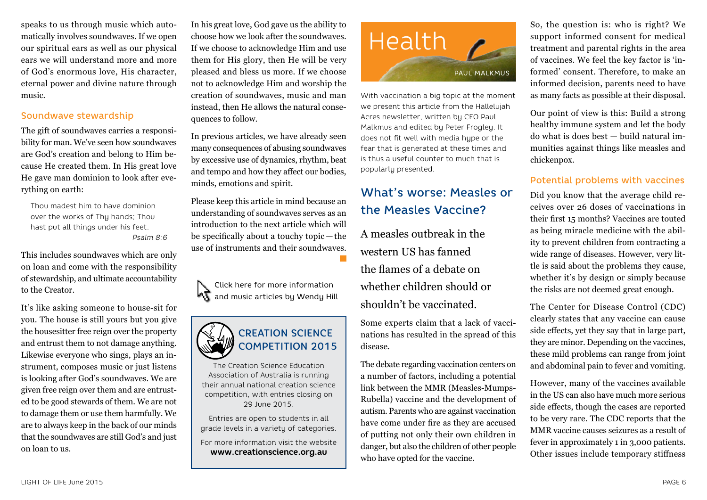speaks to us through music which automatically involves soundwaves. If we open our spiritual ears as well as our physical ears we will understand more and more of God's enormous love, His character, eternal power and divine nature through music.

#### Soundwave stewardship

The gift of soundwaves carries a responsibility for man. We've seen how soundwaves are God's creation and belong to Him because He created them. In His great love He gave man dominion to look after everything on earth:

Thou madest him to have dominion over the works of Thy hands; Thou hast put all things under his feet. *Psalm 8:6*

This includes soundwaves which are only on loan and come with the responsibility of stewardship, and ultimate accountability to the Creator.

It's like asking someone to house-sit for you. The house is still yours but you give the housesitter free reign over the property and entrust them to not damage anything. Likewise everyone who sings, plays an instrument, composes music or just listens is looking after God's soundwaves. We are given free reign over them and are entrusted to be good stewards of them. We are not to damage them or use them harmfully. We are to always keep in the back of our minds that the soundwaves are still God's and just on loan to us.

In his great love, God gave us the ability to choose how we look after the soundwaves. If we choose to acknowledge Him and use them for His glory, then He will be very pleased and bless us more. If we choose not to acknowledge Him and worship the creation of soundwaves, music and man instead, then He allows the natural consequences to follow.

In previous articles, we have already seen many consequences of abusing soundwaves by excessive use of dynamics, rhythm, beat and tempo and how they affect our bodies, minds, emotions and spirit.

Please keep this article in mind because an understanding of soundwaves serves as an introduction to the next article which will be specifically about a touchy topic — the use of instruments and their soundwaves.





The Creation Science Education Association of Australia is running their annual national creation science competition, with entries closing on 29 June 2015.

Entries are open to students in all grade levels in a variety of categories.

For more information visit the website **www.creationscience.org.au**



With vaccination a big topic at the moment we present this article from the Hallelujah Acres newsletter, written by CEO Paul Malkmus and edited by Peter Frogley. It does not fit well with media hype or the fear that is generated at these times and is thus a useful counter to much that is popularly presented.

# What's worse: Measles or the Measles Vaccine?

A measles outbreak in the western US has fanned the flames of a debate on whether children should or shouldn't be vaccinated.

Some experts claim that a lack of vaccinations has resulted in the spread of this disease.

The debate regarding vaccination centers on a number of factors, including a potential link between the MMR (Measles-Mumps-Rubella) vaccine and the development of autism. Parents who are against vaccination have come under fire as they are accused of putting not only their own children in danger, but also the children of other people who have opted for the vaccine.

So, the question is: who is right? We support informed consent for medical treatment and parental rights in the area of vaccines. We feel the key factor is 'informed' consent. Therefore, to make an informed decision, parents need to have as many facts as possible at their disposal.

Our point of view is this: Build a strong healthy immune system and let the body do what is does best — build natural immunities against things like measles and chickenpox.

#### Potential problems with vaccines

Did you know that the average child receives over 26 doses of vaccinations in their first 15 months? Vaccines are touted as being miracle medicine with the ability to prevent children from contracting a wide range of diseases. However, very little is said about the problems they cause, whether it's by design or simply because the risks are not deemed great enough.

The Center for Disease Control (CDC) clearly states that any vaccine can cause side effects, yet they say that in large part, they are minor. Depending on the vaccines, these mild problems can range from joint and abdominal pain to fever and vomiting.

However, many of the vaccines available in the US can also have much more serious side effects, though the cases are reported to be very rare. The CDC reports that the MMR vaccine causes seizures as a result of fever in approximately 1 in 3,000 patients. Other issues include temporary stiffness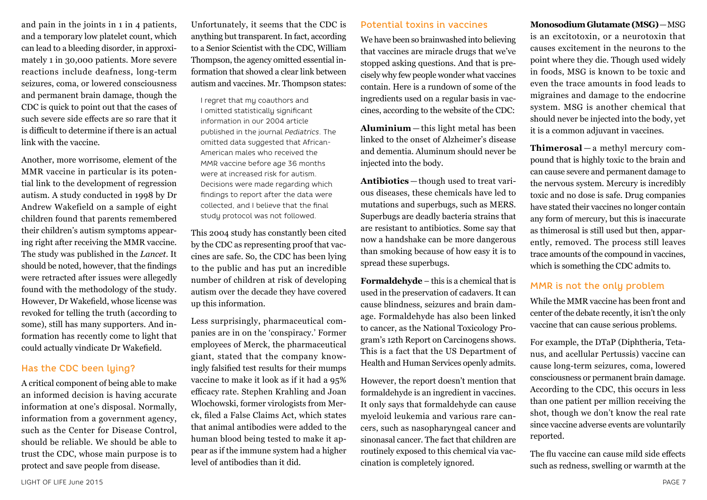and pain in the joints in 1 in 4 patients, and a temporary low platelet count, which can lead to a bleeding disorder, in approximately 1 in 30,000 patients. More severe reactions include deafness, long-term seizures, coma, or lowered consciousness and permanent brain damage, though the CDC is quick to point out that the cases of such severe side effects are so rare that it is difficult to determine if there is an actual link with the vaccine.

Another, more worrisome, element of the MMR vaccine in particular is its potential link to the development of regression autism. A study conducted in 1998 by Dr Andrew Wakefield on a sample of eight children found that parents remembered their children's autism symptoms appearing right after receiving the MMR vaccine. The study was published in the *Lancet*. It should be noted, however, that the findings were retracted after issues were allegedly found with the methodology of the study. However, Dr Wakefield, whose license was revoked for telling the truth (according to some), still has many supporters. And information has recently come to light that could actually vindicate Dr Wakefield.

#### Has the CDC been lying?

A critical component of being able to make an informed decision is having accurate information at one's disposal. Normally, information from a government agency, such as the Center for Disease Control, should be reliable. We should be able to trust the CDC, whose main purpose is to protect and save people from disease.

Unfortunately, it seems that the CDC is anything but transparent. In fact, according to a Senior Scientist with the CDC, William Thompson, the agency omitted essential information that showed a clear link between autism and vaccines. Mr. Thompson states:

I regret that my coauthors and I omitted statistically significant information in our 2004 article published in the journal *Pediatrics*. The omitted data suggested that African-American males who received the MMR vaccine before age 36 months were at increased risk for autism. Decisions were made regarding which findings to report after the data were collected, and I believe that the final study protocol was not followed.

This 2004 study has constantly been cited by the CDC as representing proof that vaccines are safe. So, the CDC has been lying to the public and has put an incredible number of children at risk of developing autism over the decade they have covered up this information.

Less surprisingly, pharmaceutical companies are in on the 'conspiracy.' Former employees of Merck, the pharmaceutical giant, stated that the company knowingly falsified test results for their mumps vaccine to make it look as if it had a 95% efficacy rate. Stephen Krahling and Joan Wlochowski, former virologists from Merck, filed a False Claims Act, which states that animal antibodies were added to the human blood being tested to make it appear as if the immune system had a higher level of antibodies than it did.

#### Potential toxins in vaccines

We have been so brainwashed into believing that vaccines are miracle drugs that we've stopped asking questions. And that is precisely why few people wonder what vaccines contain. Here is a rundown of some of the ingredients used on a regular basis in vaccines, according to the website of the CDC:

**Aluminium**— this light metal has been linked to the onset of Alzheimer's disease and dementia. Aluminum should never be injected into the body.

**Antibiotics** — though used to treat various diseases, these chemicals have led to mutations and superbugs, such as MERS. Superbugs are deadly bacteria strains that are resistant to antibiotics. Some say that now a handshake can be more dangerous than smoking because of how easy it is to spread these superbugs.

**Formaldehyde** – this is a chemical that is used in the preservation of cadavers. It can cause blindness, seizures and brain damage. Formaldehyde has also been linked to cancer, as the National Toxicology Program's 12th Report on Carcinogens shows. This is a fact that the US Department of Health and Human Services openly admits.

However, the report doesn't mention that formaldehyde is an ingredient in vaccines. It only says that formaldehyde can cause myeloid leukemia and various rare cancers, such as nasopharyngeal cancer and sinonasal cancer. The fact that children are routinely exposed to this chemical via vaccination is completely ignored.

**Monosodium Glutamate (MSG)**—MSG is an excitotoxin, or a neurotoxin that causes excitement in the neurons to the point where they die. Though used widely in foods, MSG is known to be toxic and even the trace amounts in food leads to migraines and damage to the endocrine system. MSG is another chemical that should never be injected into the body, yet it is a common adjuvant in vaccines.

**Thimerosal** — a methyl mercury compound that is highly toxic to the brain and can cause severe and permanent damage to the nervous system. Mercury is incredibly toxic and no dose is safe. Drug companies have stated their vaccines no longer contain any form of mercury, but this is inaccurate as thimerosal is still used but then, apparently, removed. The process still leaves trace amounts of the compound in vaccines, which is something the CDC admits to.

#### MMR is not the only problem

While the MMR vaccine has been front and center of the debate recently, it isn't the only vaccine that can cause serious problems.

For example, the DTaP (Diphtheria, Tetanus, and acellular Pertussis) vaccine can cause long-term seizures, coma, lowered consciousness or permanent brain damage. According to the CDC, this occurs in less than one patient per million receiving the shot, though we don't know the real rate since vaccine adverse events are voluntarily reported.

The flu vaccine can cause mild side effects such as redness, swelling or warmth at the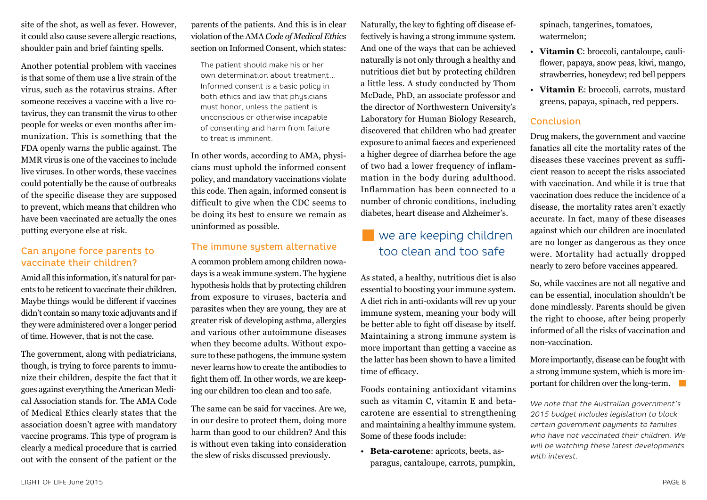site of the shot, as well as fever. However, it could also cause severe allergic reactions, shoulder pain and brief fainting spells.

Another potential problem with vaccines is that some of them use a live strain of the virus, such as the rotavirus strains. After someone receives a vaccine with a live rotavirus, they can transmit the virus to other people for weeks or even months after immunization. This is something that the FDA openly warns the public against. The MMR virus is one of the vaccines to include live viruses. In other words, these vaccines could potentially be the cause of outbreaks of the specific disease they are supposed to prevent, which means that children who have been vaccinated are actually the ones putting everyone else at risk.

#### Can anyone force parents to vaccinate their children?

Amid all this information, it's natural for parents to be reticent to vaccinate their children. Maybe things would be different if vaccines didn't contain so many toxic adjuvants and if they were administered over a longer period of time. However, that is not the case.

The government, along with pediatricians, though, is trying to force parents to immunize their children, despite the fact that it goes against everything the American Medical Association stands for. The AMA Code of Medical Ethics clearly states that the association doesn't agree with mandatory vaccine programs. This type of program is clearly a medical procedure that is carried out with the consent of the patient or the

#### parents of the patients. And this is in clear violation of the AMA *Code of Medical Ethics* section on Informed Consent, which states:

The patient should make his or her own determination about treatment… Informed consent is a basic policy in both ethics and law that physicians must honor, unless the patient is unconscious or otherwise incapable of consenting and harm from failure to treat is imminent.

In other words, according to AMA, physicians must uphold the informed consent policy, and mandatory vaccinations violate this code. Then again, informed consent is difficult to give when the CDC seems to be doing its best to ensure we remain as uninformed as possible.

#### The immune system alternative

A common problem among children nowadays is a weak immune system. The hygiene hypothesis holds that by protecting children from exposure to viruses, bacteria and parasites when they are young, they are at greater risk of developing asthma, allergies and various other autoimmune diseases when they become adults. Without exposure to these pathogens, the immune system never learns how to create the antibodies to fight them off. In other words, we are keeping our children too clean and too safe.

The same can be said for vaccines. Are we, in our desire to protect them, doing more harm than good to our children? And this is without even taking into consideration the slew of risks discussed previously.

Naturally, the key to fighting off disease effectively is having a strong immune system. And one of the ways that can be achieved naturally is not only through a healthy and nutritious diet but by protecting children a little less. A study conducted by Thom McDade, PhD, an associate professor and the director of Northwestern University's Laboratory for Human Biology Research, discovered that children who had greater exposure to animal faeces and experienced a higher degree of diarrhea before the age of two had a lower frequency of inflammation in the body during adulthood. Inflammation has been connected to a number of chronic conditions, including diabetes, heart disease and Alzheimer's.

### we are keeping children too clean and too safe

As stated, a healthy, nutritious diet is also essential to boosting your immune system. A diet rich in anti-oxidants will rev up your immune system, meaning your body will be better able to fight off disease by itself. Maintaining a strong immune system is more important than getting a vaccine as the latter has been shown to have a limited time of efficacy.

Foods containing antioxidant vitamins such as vitamin C, vitamin E and betacarotene are essential to strengthening and maintaining a healthy immune system. Some of these foods include:

• **Beta-carotene**: apricots, beets, asparagus, cantaloupe, carrots, pumpkin, spinach, tangerines, tomatoes, watermelon;

- **Vitamin C**: broccoli, cantaloupe, cauliflower, papaya, snow peas, kiwi, mango, strawberries, honeydew; red bell peppers
- **Vitamin E**: broccoli, carrots, mustard greens, papaya, spinach, red peppers.

#### Conclusion

Drug makers, the government and vaccine fanatics all cite the mortality rates of the diseases these vaccines prevent as sufficient reason to accept the risks associated with vaccination. And while it is true that vaccination does reduce the incidence of a disease, the mortality rates aren't exactly accurate. In fact, many of these diseases against which our children are inoculated are no longer as dangerous as they once were. Mortality had actually dropped nearly to zero before vaccines appeared.

So, while vaccines are not all negative and can be essential, inoculation shouldn't be done mindlessly. Parents should be given the right to choose, after being properly informed of all the risks of vaccination and non-vaccination.

More importantly, disease can be fought with a strong immune system, which is more important for children over the long-term.

*We note that the Australian government's 2015 budget includes legislation to block certain government payments to families who have not vaccinated their children. We will be watching these latest developments with interest.*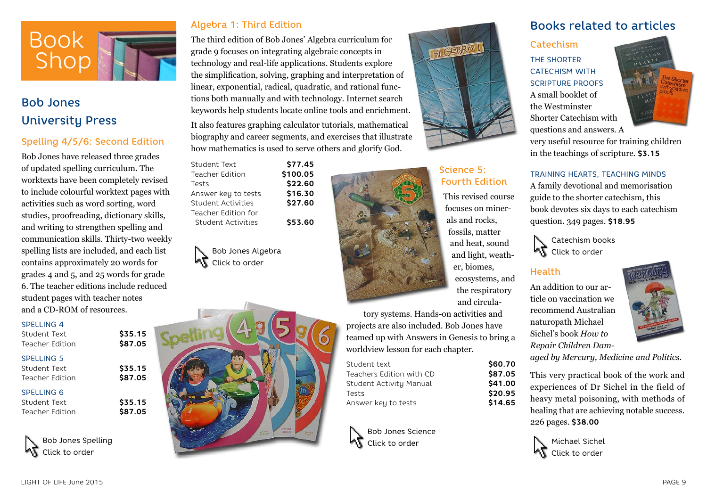

# Bob Jones University Press

#### Spelling 4/5/6: Second Edition

Bob Jones have released three grades of updated spelling curriculum. The worktexts have been completely revised to include colourful worktext pages with activities such as word sorting, word studies, proofreading, dictionary skills, and writing to strengthen spelling and communication skills. Thirty-two weekly spelling lists are included, and each list contains approximately 20 words for grades 4 and 5, and 25 words for grade 6. The teacher editions include reduced student pages with teacher notes and a CD-ROM of resources.

#### SPELLING 4

| Student Text<br>Teacher Edition                      | \$35.15<br>\$87.05 |
|------------------------------------------------------|--------------------|
| <b>SPELLING 5</b><br>Student Text<br>Teacher Edition | \$35.15<br>\$87.05 |
| <b>SPELLING 6</b><br>Student Text<br>Teacher Edition | \$35.15<br>\$87.05 |

Bob Jones Spelling Click to order

#### Algebra 1: Third Edition

The third edition of Bob Jones' Algebra curriculum for grade 9 focuses on integrating algebraic concepts in technology and real-life applications. Students explore the simplification, solving, graphing and interpretation of linear, exponential, radical, quadratic, and rational functions both manually and with technology. Internet search keywords help students locate online tools and enrichment. It also features graphing calculator tutorials, mathematical

biography and career segments, and exercises that illustrate how mathematics is used to serve others and glorify God.

| Student Text        | \$77.45  |
|---------------------|----------|
| Teacher Edition     | \$100.05 |
| Tests               | \$22.60  |
| Answer key to tests | \$16.30  |
| Student Activities  | \$27.60  |
| Teacher Edition for |          |
| Student Activities  | \$53.60  |
|                     |          |

Bob Jones Algebra Click to order





### Science 5: Fourth Edition

AL GEBRA

This revised course focuses on minerals and rocks, fossils, matter and heat, sound and light, weather, biomes, ecosystems, and the respiratory and circula-

> Student text **\$60.70** Teachers Edition with CD **\$87.05** \$41.00 Tests **\$20.95** \$14.65

tory systems. Hands-on activities and projects are also included. Bob Jones have teamed up with Answers in Genesis to bring a worldview lesson for each chapter.

| Student text             |
|--------------------------|
| Teachers Edition with CD |
| Student Activity Manual  |
| Tests                    |
| Answer key to tests      |

Bob Jones Science Click to order



# **Catechism**

THE SHORTER CATECHISM WITH SCRIPTURE PROOFS A small booklet of the Westminster Shorter Catechism with questions and answers. A



very useful resource for training children in the teachings of scripture. **\$3.15**

#### TRAINING HEARTS, TEACHING MINDS

A family devotional and memorisation guide to the shorter catechism, this book devotes six days to each catechism question. 349 pages. **\$18.95**

Catechism books **KT** Click to order

#### Health

An addition to our article on vaccination we recommend Australian naturopath Michael Sichel's book *How to Repair Children Dam-*



*aged by Mercury, Medicine and Politics*.

This very practical book of the work and experiences of Dr Sichel in the field of heavy metal poisoning, with methods of healing that are achieving notable success. 226 pages. **\$38.00**